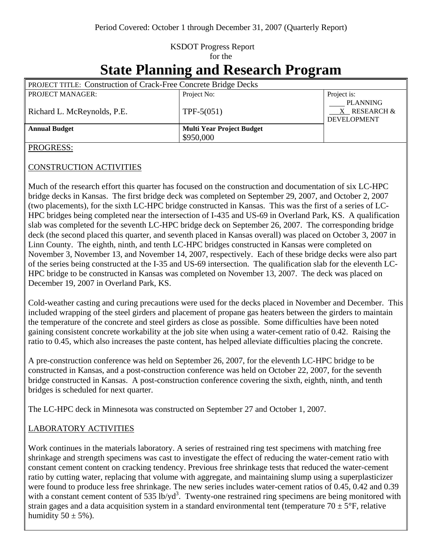### KSDOT Progress Report for the

# **State Planning and Research Program**

| <b>PROJECT TITLE: Construction of Crack-Free Concrete Bridge Decks</b> |                                  |                                                       |
|------------------------------------------------------------------------|----------------------------------|-------------------------------------------------------|
| <b>PROJECT MANAGER:</b>                                                | Project No:                      | Project is:                                           |
| Richard L. McReynolds, P.E.                                            | $TPF-5(051)$                     | <b>PLANNING</b><br>X RESEARCH &<br><b>DEVELOPMENT</b> |
| <b>Annual Budget</b>                                                   | <b>Multi Year Project Budget</b> |                                                       |
|                                                                        | \$950,000                        |                                                       |

#### PROGRESS:

#### CONSTRUCTION ACTIVITIES

Much of the research effort this quarter has focused on the construction and documentation of six LC-HPC bridge decks in Kansas. The first bridge deck was completed on September 29, 2007, and October 2, 2007 (two placements), for the sixth LC-HPC bridge constructed in Kansas. This was the first of a series of LC-HPC bridges being completed near the intersection of I-435 and US-69 in Overland Park, KS. A qualification slab was completed for the seventh LC-HPC bridge deck on September 26, 2007. The corresponding bridge deck (the second placed this quarter, and seventh placed in Kansas overall) was placed on October 3, 2007 in Linn County. The eighth, ninth, and tenth LC-HPC bridges constructed in Kansas were completed on November 3, November 13, and November 14, 2007, respectively. Each of these bridge decks were also part of the series being constructed at the I-35 and US-69 intersection. The qualification slab for the eleventh LC-HPC bridge to be constructed in Kansas was completed on November 13, 2007. The deck was placed on December 19, 2007 in Overland Park, KS.

Cold-weather casting and curing precautions were used for the decks placed in November and December. This included wrapping of the steel girders and placement of propane gas heaters between the girders to maintain the temperature of the concrete and steel girders as close as possible. Some difficulties have been noted gaining consistent concrete workability at the job site when using a water-cement ratio of 0.42. Raising the ratio to 0.45, which also increases the paste content, has helped alleviate difficulties placing the concrete.

A pre-construction conference was held on September 26, 2007, for the eleventh LC-HPC bridge to be constructed in Kansas, and a post-construction conference was held on October 22, 2007, for the seventh bridge constructed in Kansas. A post-construction conference covering the sixth, eighth, ninth, and tenth bridges is scheduled for next quarter.

The LC-HPC deck in Minnesota was constructed on September 27 and October 1, 2007.

### LABORATORY ACTIVITIES

Work continues in the materials laboratory. A series of restrained ring test specimens with matching free shrinkage and strength specimens was cast to investigate the effect of reducing the water-cement ratio with constant cement content on cracking tendency. Previous free shrinkage tests that reduced the water-cement ratio by cutting water, replacing that volume with aggregate, and maintaining slump using a superplasticizer were found to produce less free shrinkage. The new series includes water-cement ratios of 0.45, 0.42 and 0.39 with a constant cement content of 535  $\text{lb}/\text{yd}^3$ . Twenty-one restrained ring specimens are being monitored with strain gages and a data acquisition system in a standard environmental tent (temperature  $70 \pm 5$ °F, relative humidity  $50 \pm 5\%$ ).